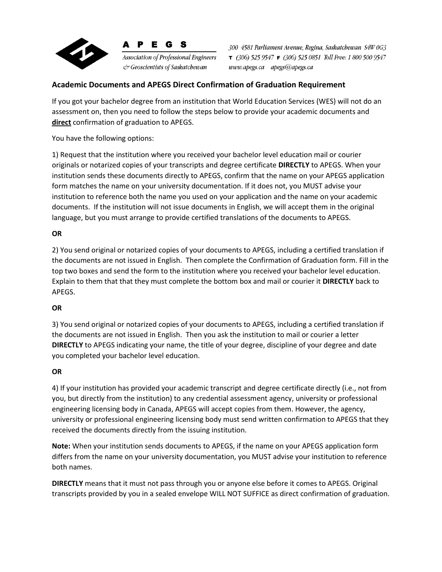

**Association of Professional Engineers** & Geoscientists of Saskatchewan

E G S

300 4581 Parliament Avenue, Regina, Saskatchewan S4W 0G3  $\tau$  (306) 525 9547  $\tau$  (306) 525 0851 Toll Free: 1 800 500 9547 www.apegs.ca apegs@apegs.ca

### **Academic Documents and APEGS Direct Confirmation of Graduation Requirement**

If you got your bachelor degree from an institution that World Education Services (WES) will not do an assessment on, then you need to follow the steps below to provide your academic documents and **direct** confirmation of graduation to APEGS.

You have the following options:

1) Request that the institution where you received your bachelor level education mail or courier originals or notarized copies of your transcripts and degree certificate **DIRECTLY** to APEGS. When your institution sends these documents directly to APEGS, confirm that the name on your APEGS application form matches the name on your university documentation. If it does not, you MUST advise your institution to reference both the name you used on your application and the name on your academic documents. If the institution will not issue documents in English, we will accept them in the original language, but you must arrange to provide certified translations of the documents to APEGS.

#### **OR**

2) You send original or notarized copies of your documents to APEGS, including a certified translation if the documents are not issued in English. Then complete the Confirmation of Graduation form. Fill in the top two boxes and send the form to the institution where you received your bachelor level education. Explain to them that that they must complete the bottom box and mail or courier it **DIRECTLY** back to APEGS.

#### **OR**

3) You send original or notarized copies of your documents to APEGS, including a certified translation if the documents are not issued in English. Then you ask the institution to mail or courier a letter **DIRECTLY** to APEGS indicating your name, the title of your degree, discipline of your degree and date you completed your bachelor level education.

#### **OR**

4) If your institution has provided your academic transcript and degree certificate directly (i.e., not from you, but directly from the institution) to any credential assessment agency, university or professional engineering licensing body in Canada, APEGS will accept copies from them. However, the agency, university or professional engineering licensing body must send written confirmation to APEGS that they received the documents directly from the issuing institution.

**Note:** When your institution sends documents to APEGS, if the name on your APEGS application form differs from the name on your university documentation, you MUST advise your institution to reference both names.

**DIRECTLY** means that it must not pass through you or anyone else before it comes to APEGS. Original transcripts provided by you in a sealed envelope WILL NOT SUFFICE as direct confirmation of graduation.